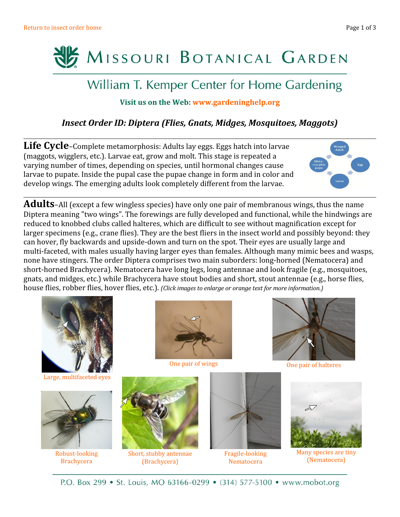

# William T. Kemper Center for Home Gardening

### **Visit us on the Web: [www.gardeninghelp.org](http://www.missouribotanicalgarden.org/gardens-gardening/your-garden/help-for-the-home-gardener.aspx)**

## *Insect Order ID: Diptera (Flies, Gnats, Midges, Mosquitoes, Maggots)*

Life Cycle-Complete metamorphosis: Adults lay eggs. Eggs hatch into larvae (maggots, wigglers, etc.). Larvae eat, grow and molt. This stage is repeated a varying number of times, depending on species, until hormonal changes cause larvae to pupate. Inside the pupal case the pupae change in form and in color and develop wings. The emerging adults look completely different from the larvae.



**Adults**–All (except a few wingless species) have only one pair of membranous wings, thus the name Diptera meaning "two wings". The forewings are fully developed and functional, while the hindwings are reduced to knobbed clubs called halteres, which are difficult to see without magnification except for larger specimens (e.g., crane flies). They are the best fliers in the insect world and possibly beyond: they can hover, fly backwards and upside-down and turn on the spot. Their eyes are usually large and multi-faceted, with males usually having larger eyes than females. Although many mimic bees and wasps, none have stingers. The order Diptera comprises two main suborders: long-horned (Nematocera) and short-horned Brachycera). Nematocera have long legs, long antennae and look fragile (e.g., mosquitoes, gnats, and midges, etc.) while Brachycera have stout bodies and short, stout antennae (e.g., horse flies, house flies, robber flies, hover flies, etc.). *(Click images to enlarge or orange text for more information.)*



[Large, multifaceted eyes](http://www.missouribotanicalgarden.org/gardens-gardening/your-garden/help-for-the-home-gardener/advice-tips-resources/pests-and-problems/other/beneficial-insects.aspx)



[Robust-looking](http://www.mobot.org/gardeninghelp/plantfinder/IPM.asp?code=306) **[Brachycera](http://www.mobot.org/gardeninghelp/plantfinder/IPM.asp?code=306)** 



[One pair of wings](http://www.mobot.org/gardeninghelp/plantfinder/IPM.asp?code=274&group=18&level=c)



[Short, stubby antennae](http://www.missouribotanicalgarden.org/gardens-gardening/your-garden/help-for-the-home-gardener/advice-tips-resources/pests-and-problems/other/beneficial-insects.aspx) [\(Brachycera\)](http://www.missouribotanicalgarden.org/gardens-gardening/your-garden/help-for-the-home-gardener/advice-tips-resources/pests-and-problems/other/beneficial-insects.aspx)



[Fragile-looking](http://www.mobot.org/gardeninghelp/plantfinder/IPM.asp?code=232&group=37&level=c) [Nematocera](http://www.mobot.org/gardeninghelp/plantfinder/IPM.asp?code=232&group=37&level=c)



[One pair of halteres](http://www.mobot.org/gardeninghelp/plantfinder/IPM.asp?code=232&group=37&level=c)



[Many species are tiny](http://www.mobot.org/gardeninghelp/plantfinder/IPM.asp?code=281&group=&level=s) [\(Nematocera\)](http://www.mobot.org/gardeninghelp/plantfinder/IPM.asp?code=281&group=&level=s)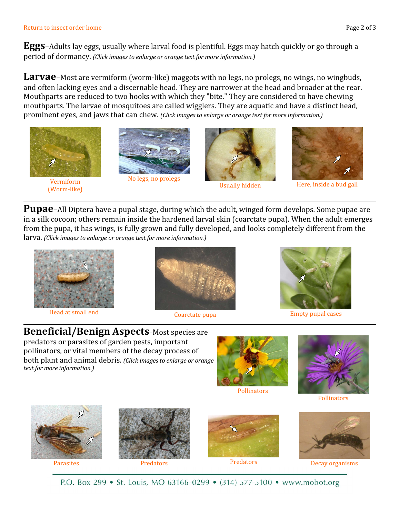**Eggs**–Adults lay eggs, usually where larval food is plentiful. Eggs may hatch quickly or go through a period of dormancy. *(Click images to enlarge or orange text for more information.)*

**Larvae**–Most are vermiform (worm-like) maggots with no legs, no prolegs, no wings, no wingbuds, and often lacking eyes and a discernable head. They are narrower at the head and broader at the rear. Mouthparts are reduced to two hooks with which they "bite." They are considered to have chewing mouthparts. The larvae of mosquitoes are called wigglers. They are aquatic and have a distinct head, prominent eyes, and jaws that can chew. *(Click images to enlarge or orange text for more information.)*



[Vermiform](http://www.mobot.org/gardeninghelp/plantfinder/IPM.asp?code=281&group=&level=s) [\(Worm-like\)](http://www.mobot.org/gardeninghelp/plantfinder/IPM.asp?code=281&group=&level=s)





[Usually hidden](http://www.mobot.org/gardeninghelp/plantfinder/IPM.asp?code=7&group=&level=s)



[Here, inside a bud gall](http://www.mobot.org/gardeninghelp/plantfinder/IPM.asp?code=259&group=40&level=c)

**Pupae**–All Diptera have a pupal stage, during which the adult, winged form develops. Some pupae are in a silk cocoon; others remain inside the hardened larval skin (coarctate pupa). When the adult emerges from the pupa, it has wings, is fully grown and fully developed, and looks completely different from the larva. *(Click images to enlarge or orange text for more information.)*



[Head at small end](http://www.mobot.org/gardeninghelp/plantfinder/IPM.asp?code=274&group=18&level=c)



[Coarctate pupa](http://www.mobot.org/gardeninghelp/plantfinder/IPM.asp?code=306&group=47&level=s)



[Empty pupal cases](http://www.mobot.org/gardeninghelp/plantfinder/IPM.asp?code=281&group=&level=s)

**Beneficial/Benign Aspects**–Most species are predators or parasites of garden pests, important pollinators, or vital members of the decay process of both plant and animal debris. *(Click images to enlarge or orange text for more information.)*



[Pollinators](http://www.mobot.org/gardeninghelp/plantfinder/IPM.asp?code=274&group=18&level=c)



**[Pollinators](http://www.mobot.org/gardeninghelp/plantfinder/IPM.asp?code=274&group=18&level=c)** 





[Parasites](http://www.mobot.org/gardeninghelp/plantfinder/IPM.asp?code=274&group=18&level=c) **[Predators](http://www.mobot.org/gardeninghelp/plantfinder/IPM.asp?code=274&group=18&level=c)** Predators **Predators** Predators [Predators](http://www.mobot.org/gardeninghelp/plantfinder/IPM.asp?code=274&group=18&level=c)





[Decay organisms](http://www.mobot.org/gardeninghelp/plantfinder/IPM.asp?code=274&group=18&level=c)

P.O. Box 299 • St. Louis, MO 63166-0299 • (314) 577-5100 • www.mobot.org